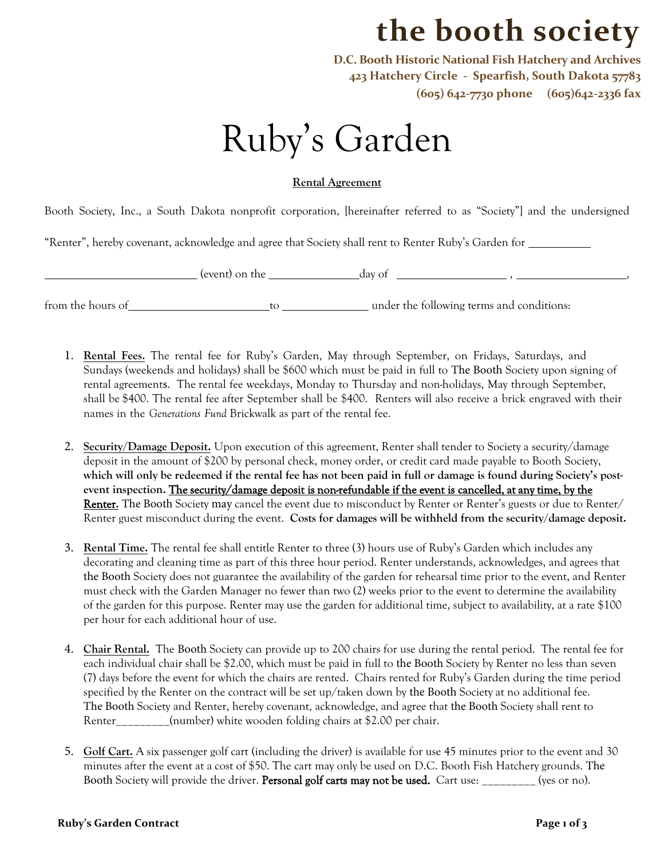## **the booth society**

**D.C. Booth Historic National Fish Hatchery and Archives 423 Hatchery Circle - Spearfish, South Dakota 57783 (605) 642-7730 phone (605)642-2336 fax**

## Ruby's Garden

## **Rental Agreement**

Booth Society, Inc., a South Dakota nonprofit corporation, [hereinafter referred to as "Society"] and the undersigned

"Renter", hereby covenant, acknowledge and agree that Society shall rent to Renter Ruby's Garden for

(event) on the day of , ,

from the hours of to to under the following terms and conditions:

- 1. **Rental Fees.** The rental fee for Ruby's Garden, May through September, on Fridays, Saturdays, and Sundays (weekends and holidays) shall be \$600 which must be paid in full to The Booth Society upon signing of rental agreements. The rental fee weekdays, Monday to Thursday and non-holidays, May through September, shall be \$400. The rental fee after September shall be \$400. Renters will also receive a brick engraved with their names in the *Generations Fund* Brickwalk as part of the rental fee.
- 2. **Security/Damage Deposit.** Upon execution of this agreement, Renter shall tender to Society a security/damage deposit in the amount of \$200 by personal check, money order, or credit card made payable to Booth Society, **which will only be redeemed if the rental fee has not been paid in full or damage is found during Society's postevent inspection.** The security/damage deposit is non-refundable if the event is cancelled, at any time, by the Renter**.** The Booth Society may cancel the event due to misconduct by Renter or Renter's guests or due to Renter/ Renter guest misconduct during the event. **Costs for damages will be withheld from the security/damage deposit.**
- 3. **Rental Time.** The rental fee shall entitle Renter to three (3) hours use of Ruby's Garden which includes any decorating and cleaning time as part of this three hour period. Renter understands, acknowledges, and agrees that the Booth Society does not guarantee the availability of the garden for rehearsal time prior to the event, and Renter must check with the Garden Manager no fewer than two (2) weeks prior to the event to determine the availability of the garden for this purpose. Renter may use the garden for additional time, subject to availability, at a rate \$100 per hour for each additional hour of use.
- 4. **Chair Rental.** The Booth Society can provide up to 200 chairs for use during the rental period. The rental fee for each individual chair shall be \$2.00, which must be paid in full to the Booth Society by Renter no less than seven (7) days before the event for which the chairs are rented. Chairs rented for Ruby's Garden during the time period specified by the Renter on the contract will be set up/taken down by the Booth Society at no additional fee. The Booth Society and Renter, hereby covenant, acknowledge, and agree that the Booth Society shall rent to Renter\_\_\_\_\_\_\_\_\_(number) white wooden folding chairs at \$2.00 per chair.
- 5. **Golf Cart.** A six passenger golf cart (including the driver) is available for use 45 minutes prior to the event and 30 minutes after the event at a cost of \$50. The cart may only be used on D.C. Booth Fish Hatchery grounds. The Booth Society will provide the driver. Personal golf carts may not be used. Cart use: \_\_\_\_\_\_\_\_\_ (yes or no).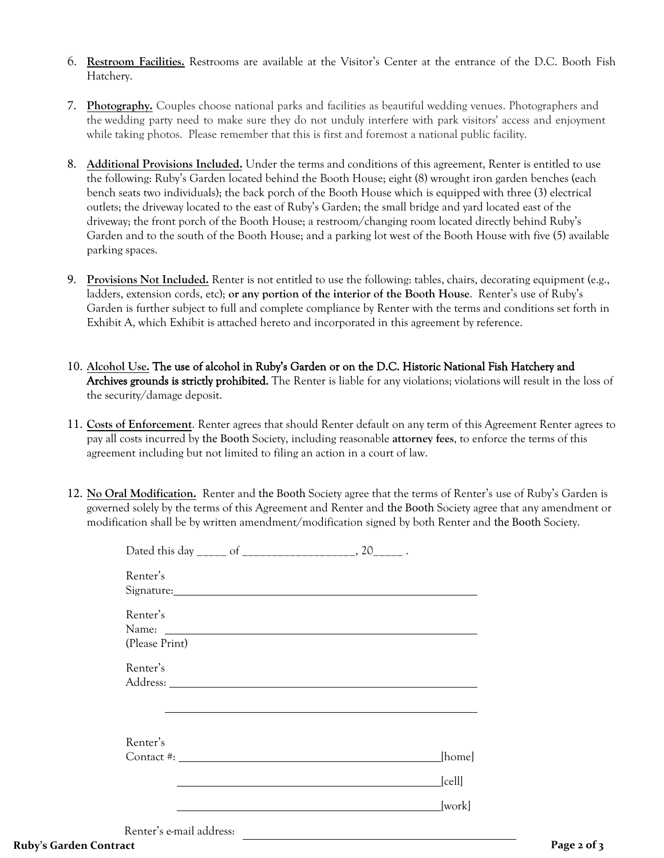- 6. **Restroom Facilities.** Restrooms are available at the Visitor's Center at the entrance of the D.C. Booth Fish Hatchery.
- 7. **Photography.** Couples choose national parks and facilities as beautiful wedding venues. Photographers and the wedding party need to make sure they do not unduly interfere with park visitors' access and enjoyment while taking photos. Please remember that this is first and foremost a national public facility.
- 8. **Additional Provisions Included.** Under the terms and conditions of this agreement, Renter is entitled to use the following: Ruby's Garden located behind the Booth House; eight (8) wrought iron garden benches (each bench seats two individuals); the back porch of the Booth House which is equipped with three (3) electrical outlets; the driveway located to the east of Ruby's Garden; the small bridge and yard located east of the driveway; the front porch of the Booth House; a restroom/changing room located directly behind Ruby's Garden and to the south of the Booth House; and a parking lot west of the Booth House with five (5) available parking spaces.
- 9. **Provisions Not Included.** Renter is not entitled to use the following: tables, chairs, decorating equipment (e.g., ladders, extension cords, etc); **or any portion of the interior of the Booth House**. Renter's use of Ruby's Garden is further subject to full and complete compliance by Renter with the terms and conditions set forth in Exhibit A, which Exhibit is attached hereto and incorporated in this agreement by reference.
- 10. **Alcohol Use.** The use of alcohol in Ruby's Garden or on the D.C. Historic National Fish Hatchery and Archives grounds is strictly prohibited. The Renter is liable for any violations; violations will result in the loss of the security/damage deposit.
- 11. **Costs of Enforcement**. Renter agrees that should Renter default on any term of this Agreement Renter agrees to pay all costs incurred by the Booth Society, including reasonable **attorney fees**, to enforce the terms of this agreement including but not limited to filing an action in a court of law.
- 12. **No Oral Modification.** Renter and the Booth Society agree that the terms of Renter's use of Ruby's Garden is governed solely by the terms of this Agreement and Renter and the Booth Society agree that any amendment or modification shall be by written amendment/modification signed by both Renter and the Booth Society.

| Renter's                   | Signature: Signature:                                                                                                                                                                                                          |                                    |
|----------------------------|--------------------------------------------------------------------------------------------------------------------------------------------------------------------------------------------------------------------------------|------------------------------------|
| Renter's<br>(Please Print) | Name: Name: Name: Name: Name: Name: Name: Name: Name: Name: Name: Name: Name: Name: Name: Name: Name: Name: Name: Name: Name: Name: Name: Name: Name: Name: Name: Name: Name: Name: Name: Name: Name: Name: Name: Name: Name:  |                                    |
| Renter's                   |                                                                                                                                                                                                                                |                                    |
| Renter's                   | Contact #: Letter and the set of the set of the set of the set of the set of the set of the set of the set of the set of the set of the set of the set of the set of the set of the set of the set of the set of the set of th | [home]<br>$\lfloor$ cell $\rfloor$ |
| Renter's e-mail address:   |                                                                                                                                                                                                                                | [work]                             |

**Ruby's Garden Contract Page 2 of 3**